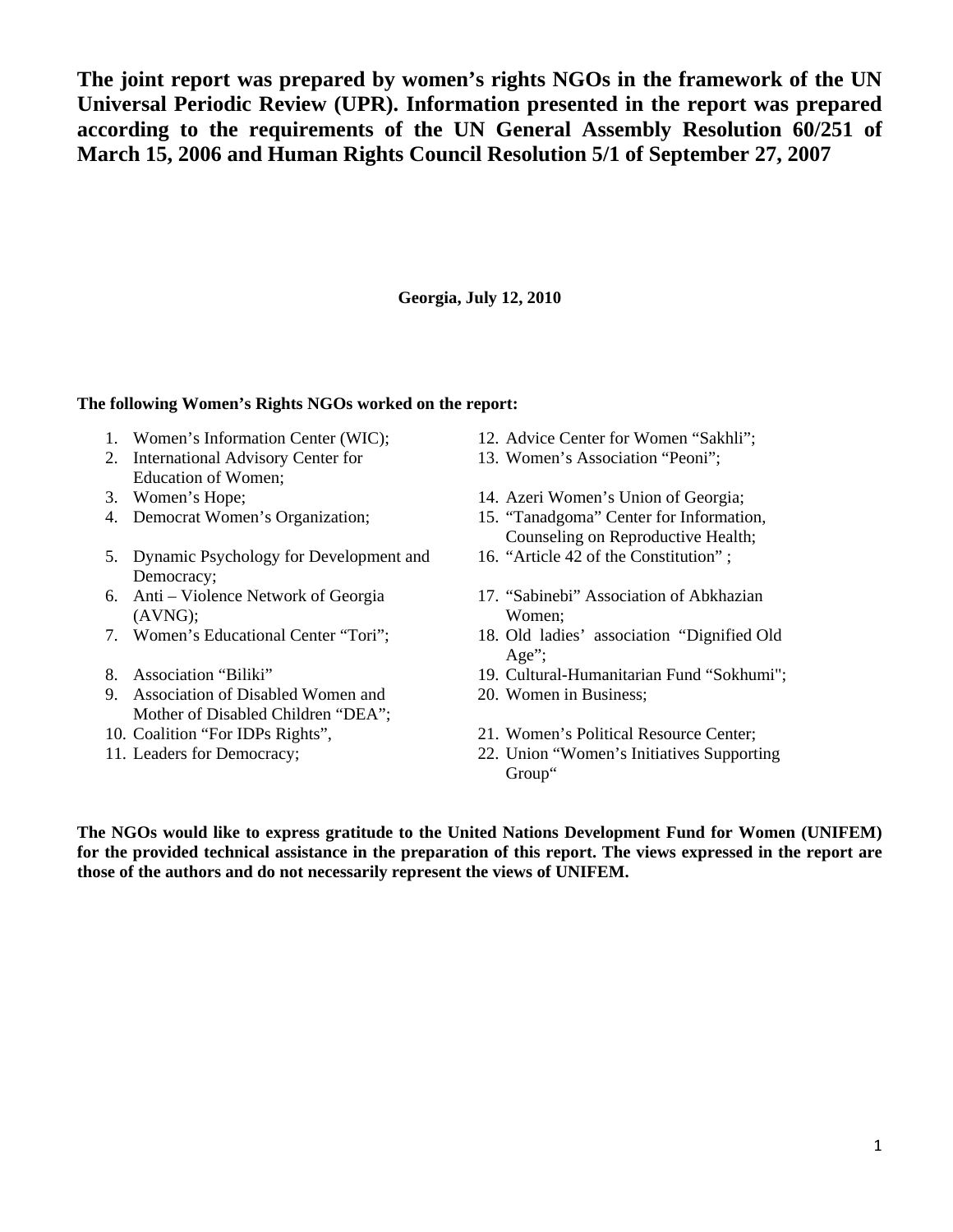**The joint report was prepared by women's rights NGOs in the framework of the UN Universal Periodic Review (UPR). Information presented in the report was prepared according to the requirements of the UN General Assembly Resolution 60/251 of March 15, 2006 and Human Rights Council Resolution 5/1 of September 27, 2007** 

**Georgia, July 12, 2010** 

### **The following Women's Rights NGOs worked on the report:**

- 1. Women's Information Center (WIC); 12. Advice Center for Women "Sakhli";
- 2. International Advisory Center for Education of Women;
- 
- 
- 5. Dynamic Psychology for Development and Democracy;
- 6. Anti Violence Network of Georgia (AVNG);
- 
- 
- 9. Association of Disabled Women and Mother of Disabled Children "DEA";
- 
- 
- 
- 13. Women's Association "Peoni";
- 3. Women's Hope; 14. Azeri Women's Union of Georgia;
- 4. Democrat Women's Organization; 15. "Tanadgoma" Center for Information, Counseling on Reproductive Health;
	- 16. "Article 42 of the Constitution" ;
	- 17. "Sabinebi" Association of Abkhazian Women;
- 7. Women's Educational Center "Tori"; 18. Old ladies' association "Dignified Old Age":
- 8. Association "Biliki" 19. Cultural-Humanitarian Fund "Sokhumi";
	- 20. Women in Business;
- 10. Coalition "For IDPs Rights", 21. Women's Political Resource Center;
- 11. Leaders for Democracy; 22. Union "Women's Initiatives Supporting Group"

**The NGOs would like to express gratitude to the United Nations Development Fund for Women (UNIFEM) for the provided technical assistance in the preparation of this report. The views expressed in the report are those of the authors and do not necessarily represent the views of UNIFEM.**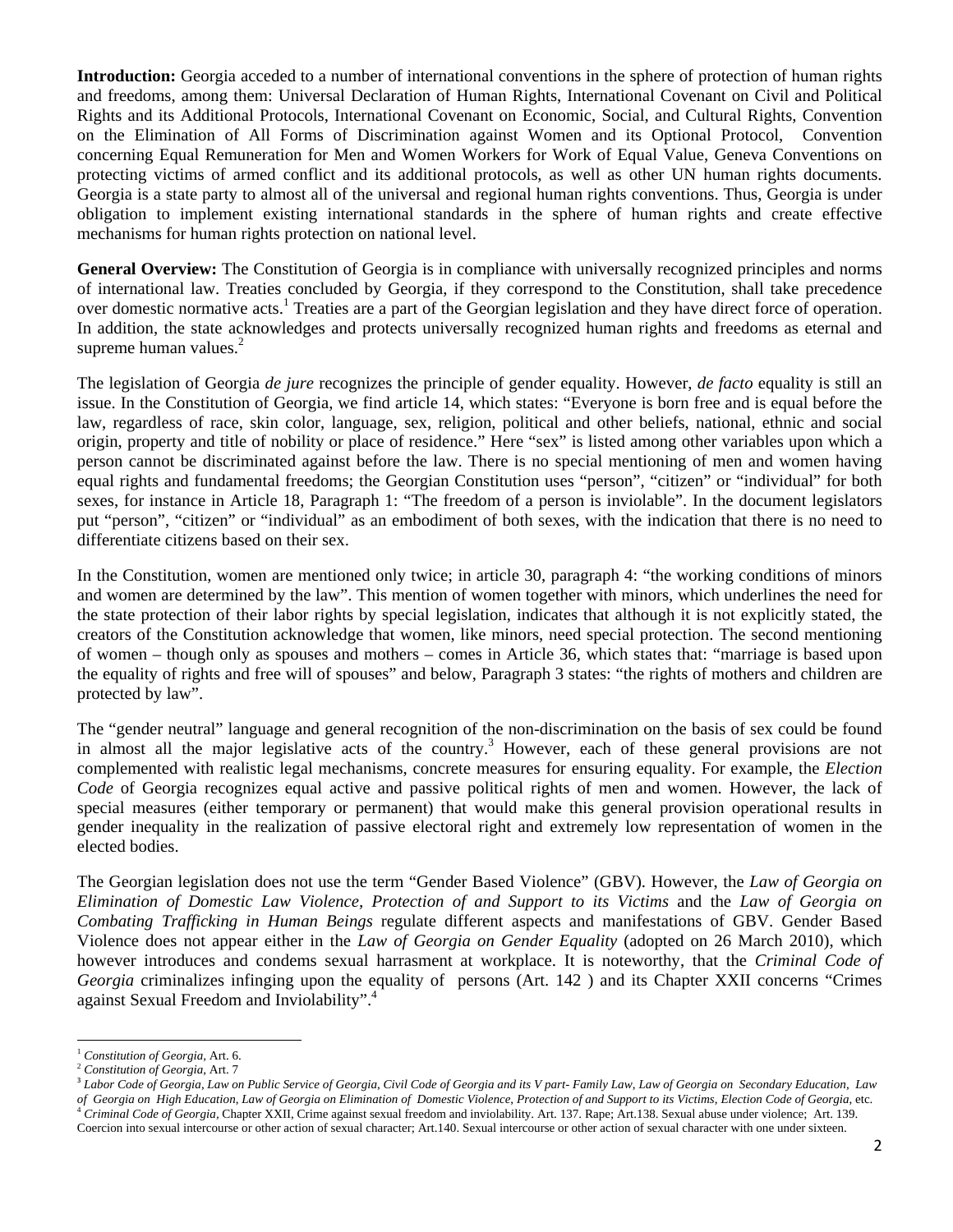**Introduction:** Georgia acceded to a number of international conventions in the sphere of protection of human rights and freedoms, among them: Universal Declaration of Human Rights, International Covenant on Civil and Political Rights and its Additional Protocols, International Covenant on Economic, Social, and Cultural Rights, Convention on the Elimination of All Forms of Discrimination against Women and its Optional Protocol, Convention concerning Equal Remuneration for Men and Women Workers for Work of Equal Value, Geneva Conventions on protecting victims of armed conflict and its additional protocols, as well as other UN human rights documents. Georgia is a state party to almost all of the universal and regional human rights conventions. Thus, Georgia is under obligation to implement existing international standards in the sphere of human rights and create effective mechanisms for human rights protection on national level.

**General Overview:** The Constitution of Georgia is in compliance with universally recognized principles and norms of international law. Treaties concluded by Georgia, if they correspond to the Constitution, shall take precedence over domestic normative acts.<sup>1</sup> Treaties are a part of the Georgian legislation and they have direct force of operation. In addition, the state acknowledges and protects universally recognized human rights and freedoms as eternal and supreme human values. $2$ 

The legislation of Georgia *de jure* recognizes the principle of gender equality. However, *de facto* equality is still an issue. In the Constitution of Georgia, we find article 14, which states: "Everyone is born free and is equal before the law, regardless of race, skin color, language, sex, religion, political and other beliefs, national, ethnic and social origin, property and title of nobility or place of residence." Here "sex" is listed among other variables upon which a person cannot be discriminated against before the law. There is no special mentioning of men and women having equal rights and fundamental freedoms; the Georgian Constitution uses "person", "citizen" or "individual" for both sexes, for instance in Article 18, Paragraph 1: "The freedom of a person is inviolable". In the document legislators put "person", "citizen" or "individual" as an embodiment of both sexes, with the indication that there is no need to differentiate citizens based on their sex.

In the Constitution, women are mentioned only twice; in article 30, paragraph 4: "the working conditions of minors and women are determined by the law". This mention of women together with minors, which underlines the need for the state protection of their labor rights by special legislation, indicates that although it is not explicitly stated, the creators of the Constitution acknowledge that women, like minors, need special protection. The second mentioning of women – though only as spouses and mothers – comes in Article 36, which states that: "marriage is based upon the equality of rights and free will of spouses" and below, Paragraph 3 states: "the rights of mothers and children are protected by law".

The "gender neutral" language and general recognition of the non-discrimination on the basis of sex could be found in almost all the major legislative acts of the country.<sup>3</sup> However, each of these general provisions are not complemented with realistic legal mechanisms, concrete measures for ensuring equality. For example, the *Election Code* of Georgia recognizes equal active and passive political rights of men and women. However, the lack of special measures (either temporary or permanent) that would make this general provision operational results in gender inequality in the realization of passive electoral right and extremely low representation of women in the elected bodies.

The Georgian legislation does not use the term "Gender Based Violence" (GBV). However, the *Law of Georgia on Elimination of Domestic Law Violence, Protection of and Support to its Victims* and the *Law of Georgia on Combating Trafficking in Human Beings* regulate different aspects and manifestations of GBV. Gender Based Violence does not appear either in the *Law of Georgia on Gender Equality* (adopted on 26 March 2010), which however introduces and condems sexual harrasment at workplace. It is noteworthy, that the *Criminal Code of Georgia* criminalizes infinging upon the equality of persons (Art. 142 ) and its Chapter XXII concerns "Crimes against Sexual Freedom and Inviolability".4

Coercion into sexual intercourse or other action of sexual character; Art.140. Sexual intercourse or other action of sexual character with one under sixteen.

 <sup>1</sup> *Constitution of Georgia,* Art. 6.

<sup>2</sup> *Constitution of Georgia,* Art. 7

<sup>3</sup> *Labor Code of Georgia*, *Law on Public Service of Georgia*, *Civil Code of Georgia and its V part- Family Law*, *Law of Georgia on Secondary Education*, *Law*  of Georgia on High Education, Law of Georgia on Elimination of Domestic Violence, Protection of and Support to its Victims, Election Code of Georgia, etc.<br><sup>4</sup> Criminal Code of Georgia, Chapter XXII, Crime against sexual fr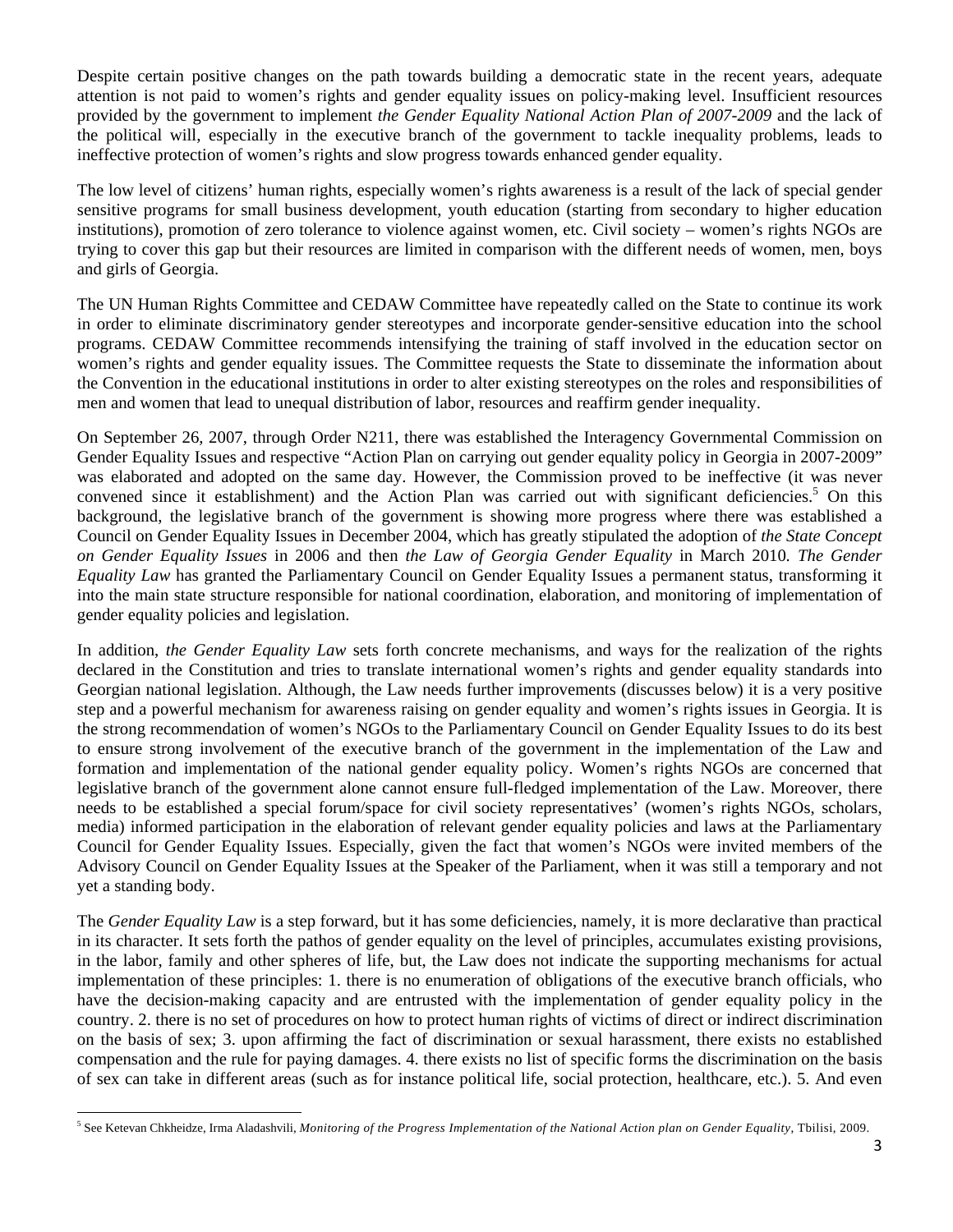Despite certain positive changes on the path towards building a democratic state in the recent years, adequate attention is not paid to women's rights and gender equality issues on policy-making level. Insufficient resources provided by the government to implement *the Gender Equality National Action Plan of 2007-2009* and the lack of the political will, especially in the executive branch of the government to tackle inequality problems, leads to ineffective protection of women's rights and slow progress towards enhanced gender equality.

The low level of citizens' human rights, especially women's rights awareness is a result of the lack of special gender sensitive programs for small business development, youth education (starting from secondary to higher education institutions), promotion of zero tolerance to violence against women, etc. Civil society – women's rights NGOs are trying to cover this gap but their resources are limited in comparison with the different needs of women, men, boys and girls of Georgia.

The UN Human Rights Committee and CEDAW Committee have repeatedly called on the State to continue its work in order to eliminate discriminatory gender stereotypes and incorporate gender-sensitive education into the school programs. CEDAW Committee recommends intensifying the training of staff involved in the education sector on women's rights and gender equality issues. The Committee requests the State to disseminate the information about the Convention in the educational institutions in order to alter existing stereotypes on the roles and responsibilities of men and women that lead to unequal distribution of labor, resources and reaffirm gender inequality.

On September 26, 2007, through Order N211, there was established the Interagency Governmental Commission on Gender Equality Issues and respective "Action Plan on carrying out gender equality policy in Georgia in 2007-2009" was elaborated and adopted on the same day. However, the Commission proved to be ineffective (it was never convened since it establishment) and the Action Plan was carried out with significant deficiencies.<sup>5</sup> On this background, the legislative branch of the government is showing more progress where there was established a Council on Gender Equality Issues in December 2004, which has greatly stipulated the adoption of *the State Concept on Gender Equality Issues* in 2006 and then *the Law of Georgia Gender Equality* in March 2010*. The Gender Equality Law* has granted the Parliamentary Council on Gender Equality Issues a permanent status, transforming it into the main state structure responsible for national coordination, elaboration, and monitoring of implementation of gender equality policies and legislation.

In addition, *the Gender Equality Law* sets forth concrete mechanisms, and ways for the realization of the rights declared in the Constitution and tries to translate international women's rights and gender equality standards into Georgian national legislation. Although, the Law needs further improvements (discusses below) it is a very positive step and a powerful mechanism for awareness raising on gender equality and women's rights issues in Georgia. It is the strong recommendation of women's NGOs to the Parliamentary Council on Gender Equality Issues to do its best to ensure strong involvement of the executive branch of the government in the implementation of the Law and formation and implementation of the national gender equality policy. Women's rights NGOs are concerned that legislative branch of the government alone cannot ensure full-fledged implementation of the Law. Moreover, there needs to be established a special forum/space for civil society representatives' (women's rights NGOs, scholars, media) informed participation in the elaboration of relevant gender equality policies and laws at the Parliamentary Council for Gender Equality Issues. Especially, given the fact that women's NGOs were invited members of the Advisory Council on Gender Equality Issues at the Speaker of the Parliament, when it was still a temporary and not yet a standing body.

The *Gender Equality Law* is a step forward, but it has some deficiencies, namely, it is more declarative than practical in its character. It sets forth the pathos of gender equality on the level of principles, accumulates existing provisions, in the labor, family and other spheres of life, but, the Law does not indicate the supporting mechanisms for actual implementation of these principles: 1. there is no enumeration of obligations of the executive branch officials, who have the decision-making capacity and are entrusted with the implementation of gender equality policy in the country. 2. there is no set of procedures on how to protect human rights of victims of direct or indirect discrimination on the basis of sex; 3. upon affirming the fact of discrimination or sexual harassment, there exists no established compensation and the rule for paying damages. 4. there exists no list of specific forms the discrimination on the basis of sex can take in different areas (such as for instance political life, social protection, healthcare, etc.). 5. And even

 5 See Ketevan Chkheidze, Irma Aladashvili, *Monitoring of the Progress Implementation of the National Action plan on Gender Equality*, Tbilisi, 2009.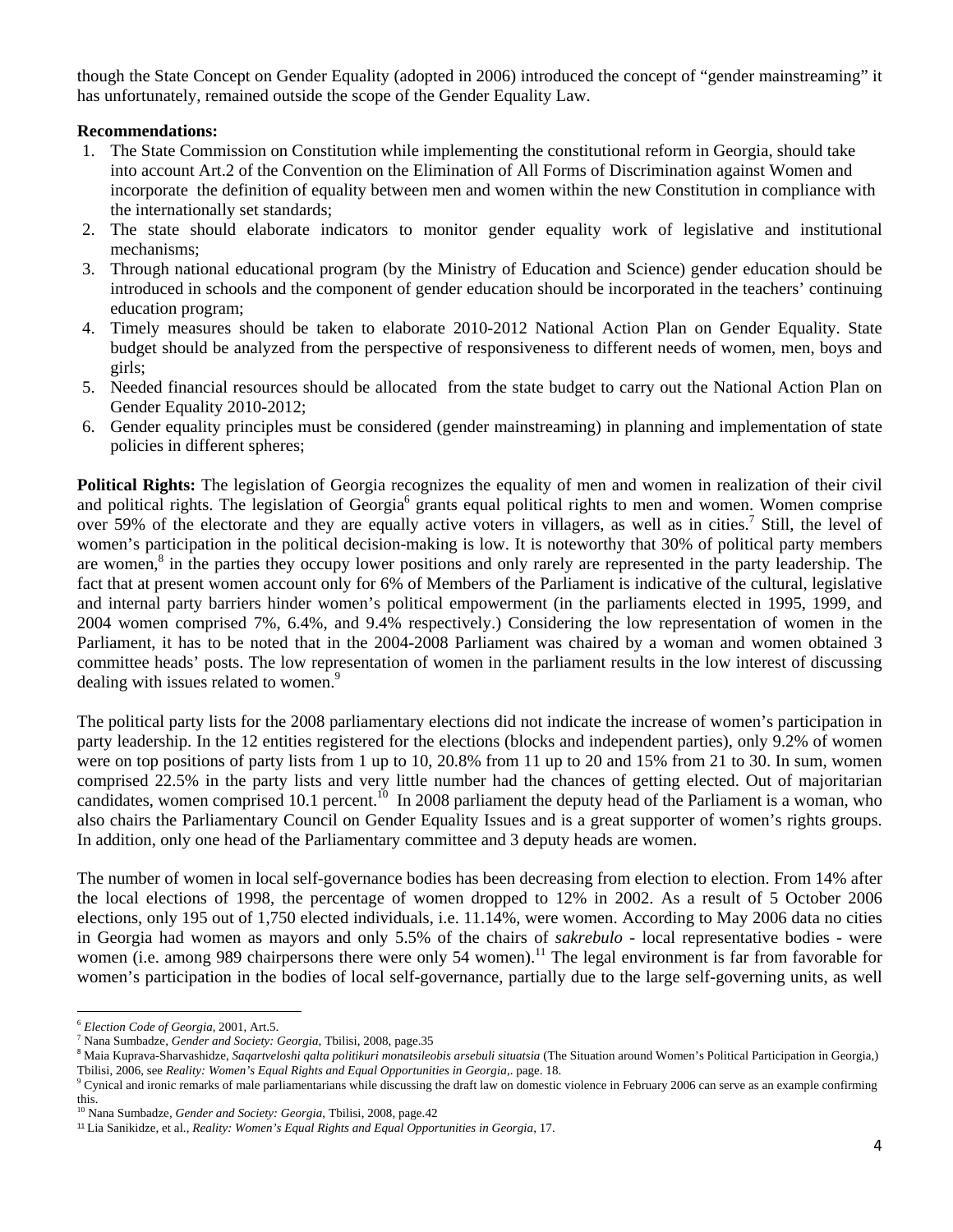though the State Concept on Gender Equality (adopted in 2006) introduced the concept of "gender mainstreaming" it has unfortunately, remained outside the scope of the Gender Equality Law.

# **Recommendations:**

- 1. The State Commission on Constitution while implementing the constitutional reform in Georgia, should take into account Art.2 of the Convention on the Elimination of All Forms of Discrimination against Women and incorporate the definition of equality between men and women within the new Constitution in compliance with the internationally set standards;
- 2. The state should elaborate indicators to monitor gender equality work of legislative and institutional mechanisms;
- 3. Through national educational program (by the Ministry of Education and Science) gender education should be introduced in schools and the component of gender education should be incorporated in the teachers' continuing education program;
- 4. Timely measures should be taken to elaborate 2010-2012 National Action Plan on Gender Equality. State budget should be analyzed from the perspective of responsiveness to different needs of women, men, boys and girls;
- 5. Needed financial resources should be allocated from the state budget to carry out the National Action Plan on Gender Equality 2010-2012;
- 6. Gender equality principles must be considered (gender mainstreaming) in planning and implementation of state policies in different spheres;

**Political Rights:** The legislation of Georgia recognizes the equality of men and women in realization of their civil and political rights. The legislation of Georgia<sup>6</sup> grants equal political rights to men and women. Women comprise over 59% of the electorate and they are equally active voters in villagers, as well as in cities.<sup>7</sup> Still, the level of women's participation in the political decision-making is low. It is noteworthy that 30% of political party members are women,<sup>8</sup> in the parties they occupy lower positions and only rarely are represented in the party leadership. The fact that at present women account only for 6% of Members of the Parliament is indicative of the cultural, legislative and internal party barriers hinder women's political empowerment (in the parliaments elected in 1995, 1999, and 2004 women comprised 7%, 6.4%, and 9.4% respectively.) Considering the low representation of women in the Parliament, it has to be noted that in the 2004-2008 Parliament was chaired by a woman and women obtained 3 committee heads' posts. The low representation of women in the parliament results in the low interest of discussing dealing with issues related to women.<sup>9</sup>

The political party lists for the 2008 parliamentary elections did not indicate the increase of women's participation in party leadership. In the 12 entities registered for the elections (blocks and independent parties), only 9.2% of women were on top positions of party lists from 1 up to 10, 20.8% from 11 up to 20 and 15% from 21 to 30. In sum, women comprised 22.5% in the party lists and very little number had the chances of getting elected. Out of majoritarian candidates, women comprised 10.1 percent.<sup>10</sup> In 2008 parliament the deputy head of the Parliament is a woman, who also chairs the Parliamentary Council on Gender Equality Issues and is a great supporter of women's rights groups. In addition, only one head of the Parliamentary committee and 3 deputy heads are women.

The number of women in local self-governance bodies has been decreasing from election to election. From 14% after the local elections of 1998, the percentage of women dropped to 12% in 2002. As a result of 5 October 2006 elections, only 195 out of 1,750 elected individuals, i.e. 11.14%, were women. According to May 2006 data no cities in Georgia had women as mayors and only 5.5% of the chairs of *sakrebulo* - local representative bodies - were women (i.e. among 989 chairpersons there were only 54 women).<sup>11</sup> The legal environment is far from favorable for women's participation in the bodies of local self-governance, partially due to the large self-governing units, as well

<sup>6</sup> *Election Code of Georgia,* 2001, Art.5. 7

Nana Sumbadze, *Gender and Society: Georgia*, Tbilisi, 2008, page.35

<sup>&</sup>lt;sup>8</sup> Maia Kuprava-Sharvashidze, Saqartveloshi qalta politikuri monatsileobis arsebuli situatsia (The Situation around Women's Political Participation in Georgia,) Tbilisi, 2006, see *Reality: Women's Equal Rights and Equal Opportunities in Georgia*,. page. 18. 9

 $^9$  Cynical and ironic remarks of male parliamentarians while discussing the draft law on domestic violence in February 2006 can serve as an example confirming this.

<sup>10</sup> Nana Sumbadze, *Gender and Society: Georgia*, Tbilisi, 2008, page.42

<sup>11</sup> Lia Sanikidze, et al., *Reality: Women's Equal Rights and Equal Opportunities in Georgia*, 17.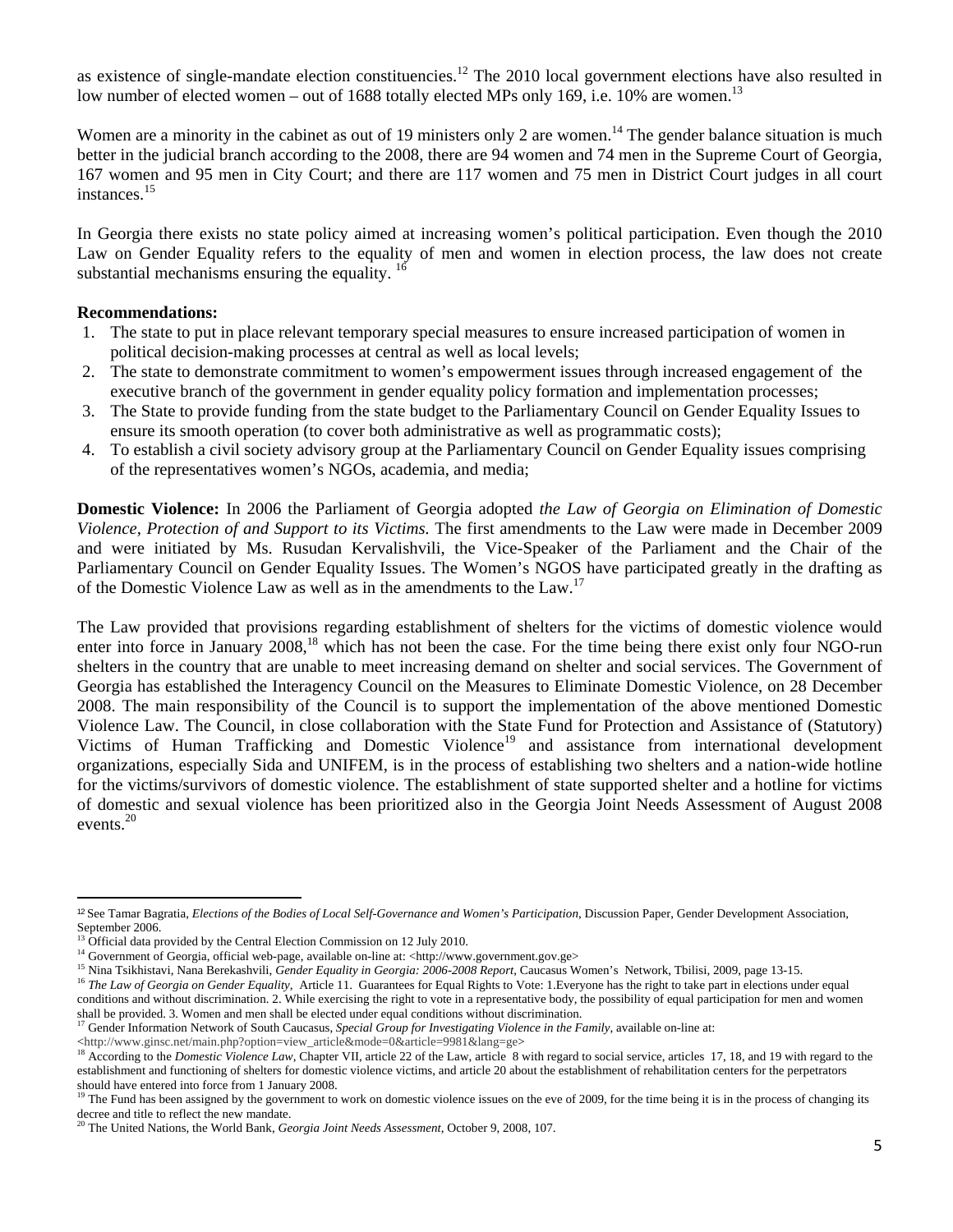as existence of single-mandate election constituencies.<sup>12</sup> The 2010 local government elections have also resulted in low number of elected women – out of 1688 totally elected MPs only 169, i.e. 10% are women.<sup>13</sup>

Women are a minority in the cabinet as out of 19 ministers only 2 are women.<sup>14</sup> The gender balance situation is much better in the judicial branch according to the 2008, there are 94 women and 74 men in the Supreme Court of Georgia, 167 women and 95 men in City Court; and there are 117 women and 75 men in District Court judges in all court instances.<sup>15</sup>

In Georgia there exists no state policy aimed at increasing women's political participation. Even though the 2010 Law on Gender Equality refers to the equality of men and women in election process, the law does not create substantial mechanisms ensuring the equality.  $16$ 

### **Recommendations:**

- 1. The state to put in place relevant temporary special measures to ensure increased participation of women in political decision-making processes at central as well as local levels;
- 2. The state to demonstrate commitment to women's empowerment issues through increased engagement of the executive branch of the government in gender equality policy formation and implementation processes;
- 3. The State to provide funding from the state budget to the Parliamentary Council on Gender Equality Issues to ensure its smooth operation (to cover both administrative as well as programmatic costs);
- 4. To establish a civil society advisory group at the Parliamentary Council on Gender Equality issues comprising of the representatives women's NGOs, academia, and media;

**Domestic Violence:** In 2006 the Parliament of Georgia adopted *the Law of Georgia on Elimination of Domestic Violence, Protection of and Support to its Victims.* The first amendments to the Law were made in December 2009 and were initiated by Ms. Rusudan Kervalishvili, the Vice-Speaker of the Parliament and the Chair of the Parliamentary Council on Gender Equality Issues. The Women's NGOS have participated greatly in the drafting as of the Domestic Violence Law as well as in the amendments to the Law.<sup>17</sup>

The Law provided that provisions regarding establishment of shelters for the victims of domestic violence would enter into force in January 2008,<sup>18</sup> which has not been the case. For the time being there exist only four NGO-run shelters in the country that are unable to meet increasing demand on shelter and social services. The Government of Georgia has established the Interagency Council on the Measures to Eliminate Domestic Violence, on 28 December 2008. The main responsibility of the Council is to support the implementation of the above mentioned Domestic Violence Law. The Council, in close collaboration with the State Fund for Protection and Assistance of (Statutory) Victims of Human Trafficking and Domestic Violence<sup>19</sup> and assistance from international development organizations, especially Sida and UNIFEM, is in the process of establishing two shelters and a nation-wide hotline for the victims/survivors of domestic violence. The establishment of state supported shelter and a hotline for victims of domestic and sexual violence has been prioritized also in the Georgia Joint Needs Assessment of August 2008 events.<sup>20</sup>

<sup>&</sup>lt;sup>12</sup> See Tamar Bagratia, *Elections of the Bodies of Local Self-Governance and Women's Participation*, Discussion Paper, Gender Development Association, September 2006.<br><sup>13</sup> Official data provided by the Central Election Commission on 12 July 2010.

<sup>&</sup>lt;sup>14</sup> Government of Georgia, official web-page, available on-line at: <http://www.government.gov.ge><br><sup>15</sup> Nina Tsikhistavi, Nana Berekashvili, *Gender Equality in Georgia: 2006-2008 Report*, Caucasus Women's Network, Tbili conditions and without discrimination. 2. While exercising the right to vote in a representative body, the possibility of equal participation for men and women

shall be provided. 3. Women and men shall be elected under equal conditions without discrimination.<br><sup>17</sup> Gender Information Network of South Caucasus, Special Group for Investigating Violence in the Family, available on-li

<sup>&</sup>lt;http://www.ginsc.net/main.php?option=view\_article&mode=0&article=9981&lang=ge><br><sup>18</sup> According to the *Domestic Violence Law*, Chapter VII, article 22 of the Law, article 8 with regard to social service, articles 17, 18, a establishment and functioning of shelters for domestic violence victims, and article 20 about the establishment of rehabilitation centers for the perpetrators should have entered into force from 1 January 2008.

<sup>&</sup>lt;sup>19</sup> The Fund has been assigned by the government to work on domestic violence issues on the eve of 2009, for the time being it is in the process of changing its decree and title to reflect the new mandate.

<sup>20</sup> The United Nations, the World Bank, *Georgia Joint Needs Assessment*, October 9, 2008, 107.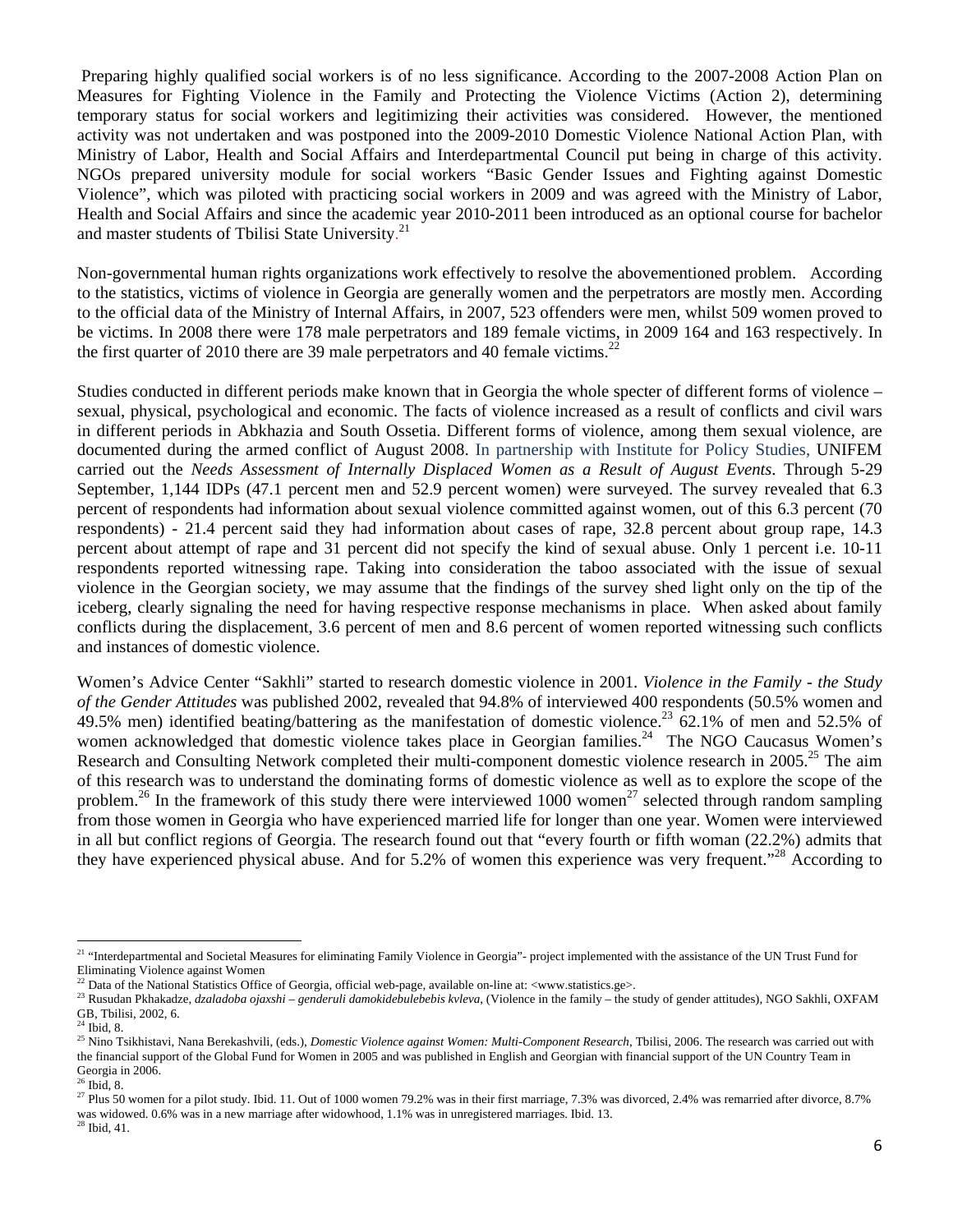Preparing highly qualified social workers is of no less significance. According to the 2007-2008 Action Plan on Measures for Fighting Violence in the Family and Protecting the Violence Victims (Action 2), determining temporary status for social workers and legitimizing their activities was considered. However, the mentioned activity was not undertaken and was postponed into the 2009-2010 Domestic Violence National Action Plan, with Ministry of Labor, Health and Social Affairs and Interdepartmental Council put being in charge of this activity. NGOs prepared university module for social workers "Basic Gender Issues and Fighting against Domestic Violence", which was piloted with practicing social workers in 2009 and was agreed with the Ministry of Labor, Health and Social Affairs and since the academic year 2010-2011 been introduced as an optional course for bachelor and master students of Tbilisi State University.<sup>21</sup>

Non-governmental human rights organizations work effectively to resolve the abovementioned problem. According to the statistics, victims of violence in Georgia are generally women and the perpetrators are mostly men. According to the official data of the Ministry of Internal Affairs, in 2007, 523 offenders were men, whilst 509 women proved to be victims. In 2008 there were 178 male perpetrators and 189 female victims, in 2009 164 and 163 respectively. In the first quarter of 2010 there are 39 male perpetrators and 40 female victims.<sup>22</sup>

Studies conducted in different periods make known that in Georgia the whole specter of different forms of violence – sexual, physical, psychological and economic. The facts of violence increased as a result of conflicts and civil wars in different periods in Abkhazia and South Ossetia. Different forms of violence, among them sexual violence, are documented during the armed conflict of August 2008. In partnership with Institute for Policy Studies, UNIFEM carried out the *Needs Assessment of Internally Displaced Women as a Result of August Events*. Through 5-29 September, 1,144 IDPs (47.1 percent men and 52.9 percent women) were surveyed. The survey revealed that 6.3 percent of respondents had information about sexual violence committed against women, out of this 6.3 percent (70 respondents) - 21.4 percent said they had information about cases of rape, 32.8 percent about group rape, 14.3 percent about attempt of rape and 31 percent did not specify the kind of sexual abuse. Only 1 percent i.e. 10-11 respondents reported witnessing rape. Taking into consideration the taboo associated with the issue of sexual violence in the Georgian society, we may assume that the findings of the survey shed light only on the tip of the iceberg, clearly signaling the need for having respective response mechanisms in place. When asked about family conflicts during the displacement, 3.6 percent of men and 8.6 percent of women reported witnessing such conflicts and instances of domestic violence.

Women's Advice Center "Sakhli" started to research domestic violence in 2001. *Violence in the Family - the Study of the Gender Attitudes* was published 2002, revealed that 94.8% of interviewed 400 respondents (50.5% women and 49.5% men) identified beating/battering as the manifestation of domestic violence.<sup>23</sup>  $\dot{6}$ 2.1% of men and 52.5% of women acknowledged that domestic violence takes place in Georgian families.<sup>24</sup> The NGO Caucasus Women's Research and Consulting Network completed their multi-component domestic violence research in 2005.<sup>25</sup> The aim of this research was to understand the dominating forms of domestic violence as well as to explore the scope of the problem.<sup>26</sup> In the framework of this study there were interviewed 1000 women<sup>27</sup> selected through random sampling from those women in Georgia who have experienced married life for longer than one year. Women were interviewed in all but conflict regions of Georgia. The research found out that "every fourth or fifth woman (22.2%) admits that they have experienced physical abuse. And for 5.2% of women this experience was very frequent."<sup>28</sup> According to

<sup>&</sup>lt;sup>21</sup> "Interdepartmental and Societal Measures for eliminating Family Violence in Georgia"- project implemented with the assistance of the UN Trust Fund for Eliminating Violence against Women

<sup>&</sup>lt;sup>22</sup> Data of the National Statistics Office of Georgia, official web-page, available on-line at: <www.statistics.ge>.<br><sup>23</sup> Rusudan Pkhakadze, *dzaladoba ojaxshi – genderuli damokidebulebebis kvleva*, (Violence in the fami GB, Tbilisi, 2002, 6.

 $24$  Ibid, 8.

<sup>&</sup>lt;sup>25</sup> Nino Tsikhistavi, Nana Berekashvili, (eds.), *Domestic Violence against Women: Multi-Component Research*, Tbilisi, 2006. The research was carried out with the financial support of the Global Fund for Women in 2005 and was published in English and Georgian with financial support of the UN Country Team in Georgia in 2006.<br><sup>26</sup> Ibid, 8.

<sup>&</sup>lt;sup>27</sup> Plus 50 women for a pilot study. Ibid. 11. Out of 1000 women 79.2% was in their first marriage, 7.3% was divorced, 2.4% was remarried after divorce, 8.7% was widowed. 0.6% was in a new marriage after widowhood, 1.1% was in unregistered marriages. Ibid. 13. 28 Ibid, 41.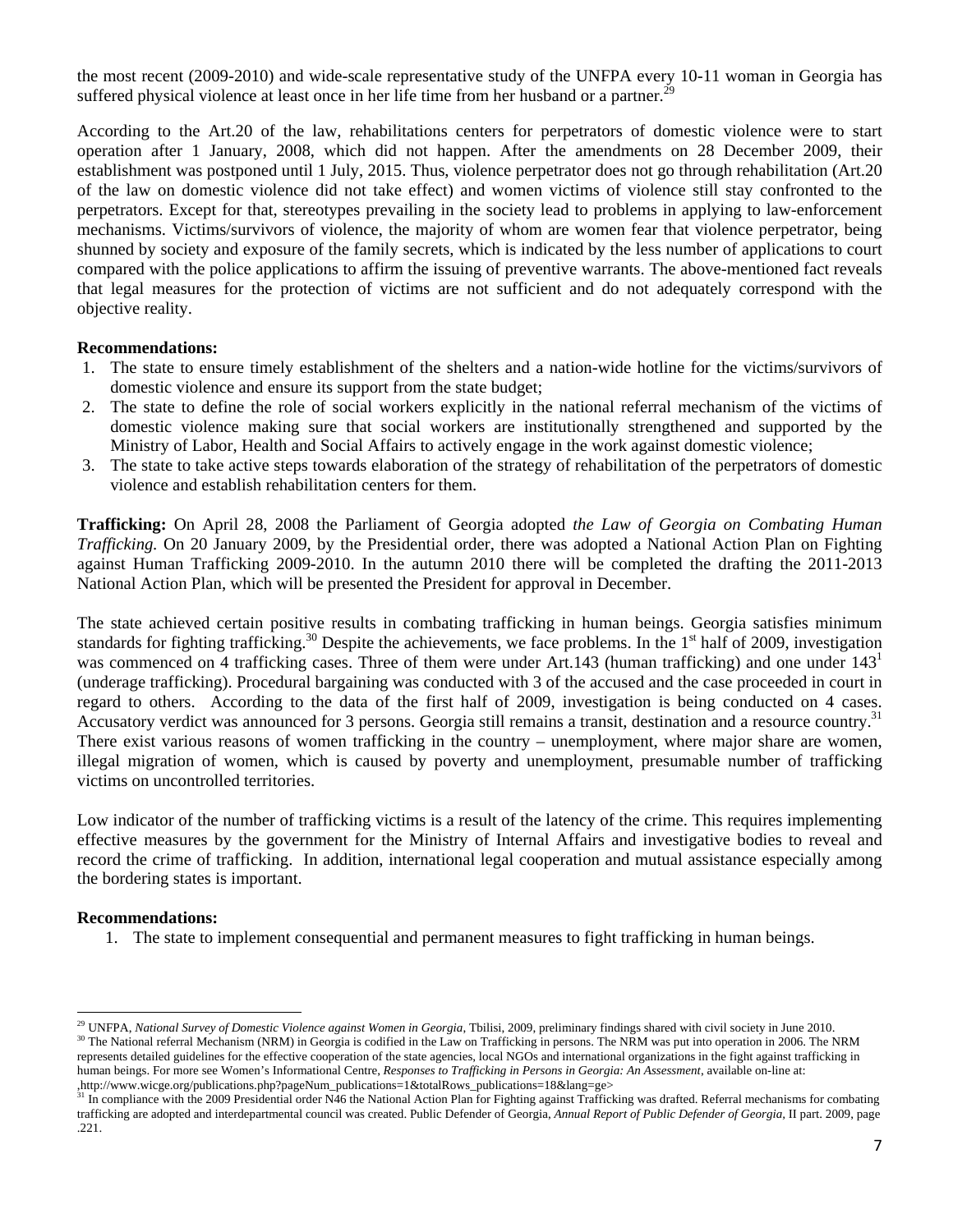the most recent (2009-2010) and wide-scale representative study of the UNFPA every 10-11 woman in Georgia has suffered physical violence at least once in her life time from her husband or a partner.<sup>29</sup>

According to the Art.20 of the law, rehabilitations centers for perpetrators of domestic violence were to start operation after 1 January, 2008, which did not happen. After the amendments on 28 December 2009, their establishment was postponed until 1 July, 2015. Thus, violence perpetrator does not go through rehabilitation (Art.20 of the law on domestic violence did not take effect) and women victims of violence still stay confronted to the perpetrators. Except for that, stereotypes prevailing in the society lead to problems in applying to law-enforcement mechanisms. Victims/survivors of violence, the majority of whom are women fear that violence perpetrator, being shunned by society and exposure of the family secrets, which is indicated by the less number of applications to court compared with the police applications to affirm the issuing of preventive warrants. The above-mentioned fact reveals that legal measures for the protection of victims are not sufficient and do not adequately correspond with the objective reality.

# **Recommendations:**

- 1. The state to ensure timely establishment of the shelters and a nation-wide hotline for the victims/survivors of domestic violence and ensure its support from the state budget;
- 2. The state to define the role of social workers explicitly in the national referral mechanism of the victims of domestic violence making sure that social workers are institutionally strengthened and supported by the Ministry of Labor, Health and Social Affairs to actively engage in the work against domestic violence;
- 3. The state to take active steps towards elaboration of the strategy of rehabilitation of the perpetrators of domestic violence and establish rehabilitation centers for them.

**Trafficking:** On April 28, 2008 the Parliament of Georgia adopted *the Law of Georgia on Combating Human Trafficking.* On 20 January 2009, by the Presidential order, there was adopted a National Action Plan on Fighting against Human Trafficking 2009-2010. In the autumn 2010 there will be completed the drafting the 2011-2013 National Action Plan, which will be presented the President for approval in December.

The state achieved certain positive results in combating trafficking in human beings. Georgia satisfies minimum standards for fighting trafficking.<sup>30</sup> Despite the achievements, we face problems. In the  $1<sup>st</sup>$  half of 2009, investigation was commenced on 4 trafficking cases. Three of them were under Art.143 (human trafficking) and one under 143<sup>1</sup> (underage trafficking). Procedural bargaining was conducted with 3 of the accused and the case proceeded in court in regard to others. According to the data of the first half of 2009, investigation is being conducted on 4 cases. Accusatory verdict was announced for 3 persons. Georgia still remains a transit, destination and a resource country.<sup>31</sup> There exist various reasons of women trafficking in the country – unemployment, where major share are women, illegal migration of women, which is caused by poverty and unemployment, presumable number of trafficking victims on uncontrolled territories.

Low indicator of the number of trafficking victims is a result of the latency of the crime. This requires implementing effective measures by the government for the Ministry of Internal Affairs and investigative bodies to reveal and record the crime of trafficking. In addition, international legal cooperation and mutual assistance especially among the bordering states is important.

### **Recommendations:**

1. The state to implement consequential and permanent measures to fight trafficking in human beings.

<sup>&</sup>lt;sup>29</sup> UNFPA, *National Survey of Domestic Violence against Women in Georgia*, Tbilisi, 2009, preliminary findings shared with civil society in June 2010.<br><sup>30</sup> The National referral Mechanism (NRM) in Georgia is codified in represents detailed guidelines for the effective cooperation of the state agencies, local NGOs and international organizations in the fight against trafficking in human beings. For more see Women's Informational Centre, *Responses to Trafficking in Persons in Georgia: An Assessment*, available on-line at:

In compliance with the 2009 Presidential order N46 the National Action Plan for Fighting against Trafficking was drafted. Referral mechanisms for combating trafficking are adopted and interdepartmental council was created. Public Defender of Georgia, *Annual Report of Public Defender of Georgia,* II part. 2009, page .221.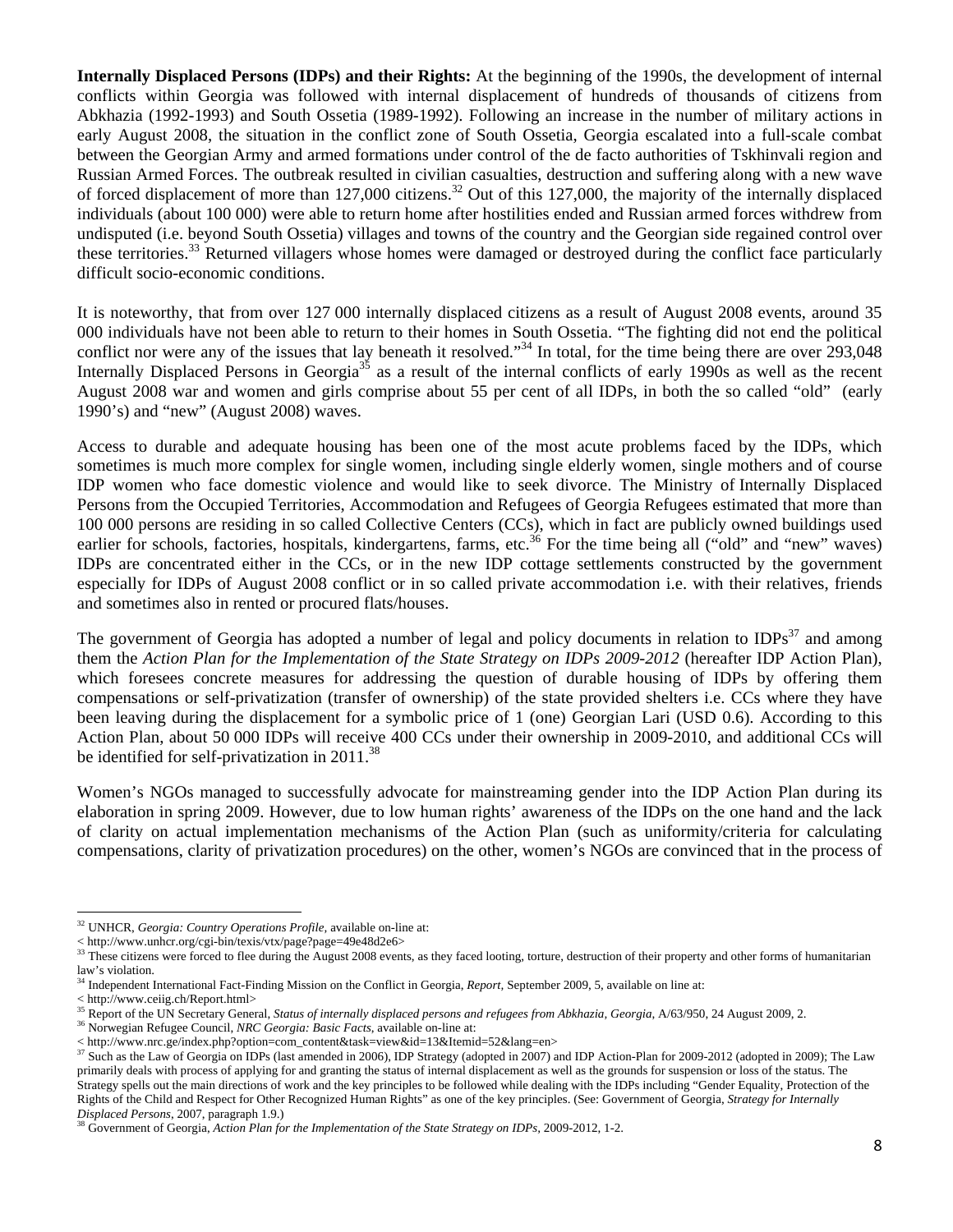**Internally Displaced Persons (IDPs) and their Rights:** At the beginning of the 1990s, the development of internal conflicts within Georgia was followed with internal displacement of hundreds of thousands of citizens from Abkhazia (1992-1993) and South Ossetia (1989-1992). Following an increase in the number of military actions in early August 2008, the situation in the conflict zone of South Ossetia, Georgia escalated into a full-scale combat between the Georgian Army and armed formations under control of the de facto authorities of Tskhinvali region and Russian Armed Forces. The outbreak resulted in civilian casualties, destruction and suffering along with a new wave of forced displacement of more than  $127,000$  citizens.<sup>32</sup> Out of this  $127,000$ , the majority of the internally displaced individuals (about 100 000) were able to return home after hostilities ended and Russian armed forces withdrew from undisputed (i.e. beyond South Ossetia) villages and towns of the country and the Georgian side regained control over these territories.<sup>33</sup> Returned villagers whose homes were damaged or destroyed during the conflict face particularly difficult socio-economic conditions.

It is noteworthy, that from over 127 000 internally displaced citizens as a result of August 2008 events, around 35 000 individuals have not been able to return to their homes in South Ossetia. "The fighting did not end the political conflict nor were any of the issues that lay beneath it resolved."<sup>34</sup> In total, for the time being there are over 293,048 Internally Displaced Persons in Georgia<sup>35</sup> as a result of the internal conflicts of early 1990s as well as the recent August 2008 war and women and girls comprise about 55 per cent of all IDPs, in both the so called "old" (early 1990's) and "new" (August 2008) waves.

Access to durable and adequate housing has been one of the most acute problems faced by the IDPs, which sometimes is much more complex for single women, including single elderly women, single mothers and of course IDP women who face domestic violence and would like to seek divorce. The Ministry of Internally Displaced Persons from the Occupied Territories, Accommodation and Refugees of Georgia Refugees estimated that more than 100 000 persons are residing in so called Collective Centers (CCs), which in fact are publicly owned buildings used earlier for schools, factories, hospitals, kindergartens, farms, etc.<sup>36</sup> For the time being all ("old" and "new" waves) IDPs are concentrated either in the CCs, or in the new IDP cottage settlements constructed by the government especially for IDPs of August 2008 conflict or in so called private accommodation i.e. with their relatives, friends and sometimes also in rented or procured flats/houses.

The government of Georgia has adopted a number of legal and policy documents in relation to IDPs<sup>37</sup> and among them the *Action Plan for the Implementation of the State Strategy on IDPs 2009-2012* (hereafter IDP Action Plan), which foresees concrete measures for addressing the question of durable housing of IDPs by offering them compensations or self-privatization (transfer of ownership) of the state provided shelters i.e. CCs where they have been leaving during the displacement for a symbolic price of 1 (one) Georgian Lari (USD 0.6). According to this Action Plan, about 50 000 IDPs will receive 400 CCs under their ownership in 2009-2010, and additional CCs will be identified for self-privatization in  $2011^{38}$ 

Women's NGOs managed to successfully advocate for mainstreaming gender into the IDP Action Plan during its elaboration in spring 2009. However, due to low human rights' awareness of the IDPs on the one hand and the lack of clarity on actual implementation mechanisms of the Action Plan (such as uniformity/criteria for calculating compensations, clarity of privatization procedures) on the other, women's NGOs are convinced that in the process of

<sup>32</sup> UNHCR, *Georgia: Country Operations Profile,* available on-line at:

<sup>&</sup>lt; http://www.unhcr.org/cgi-bin/texis/vtx/page?page=49e48d2e6> 33 These citizens were forced to flee during the August 2008 events, as they faced looting, torture, destruction of their property and other forms of humanitarian law's violation.

<sup>34</sup> Independent International Fact-Finding Mission on the Conflict in Georgia, *Report,* September 2009, 5, available on line at:

<sup>&</sup>lt; http://www.ceiig.ch/Report.html>

<sup>&</sup>lt;sup>35</sup> Report of the UN Secretary General, *Status of internally displaced persons and refugees from Abkhazia, Georgia, A/63/950, 24 August 2009, 2.* 

<sup>36</sup> Norwegian Refugee Council, *NRC Georgia: Basic Facts*, available on-line at:

<sup>&</sup>lt; http://www.nrc.ge/index.php?option=com\_content&task=view&id=13&Itemid=52&lang=en><br><sup>37</sup> Such as the Law of Georgia on IDPs (last amended in 2006), IDP Strategy (adopted in 2007) and IDP Action-Plan for 2009-2012 (adopted primarily deals with process of applying for and granting the status of internal displacement as well as the grounds for suspension or loss of the status. The Strategy spells out the main directions of work and the key principles to be followed while dealing with the IDPs including "Gender Equality, Protection of the Rights of the Child and Respect for Other Recognized Human Rights" as one of the key principles. (See: Government of Georgia, *Strategy for Internally Displaced Persons*, 2007, paragraph 1.9.) 38 Government of Georgia, *Action Plan for the Implementation of the State Strategy on IDPs,* 2009-2012, 1-2.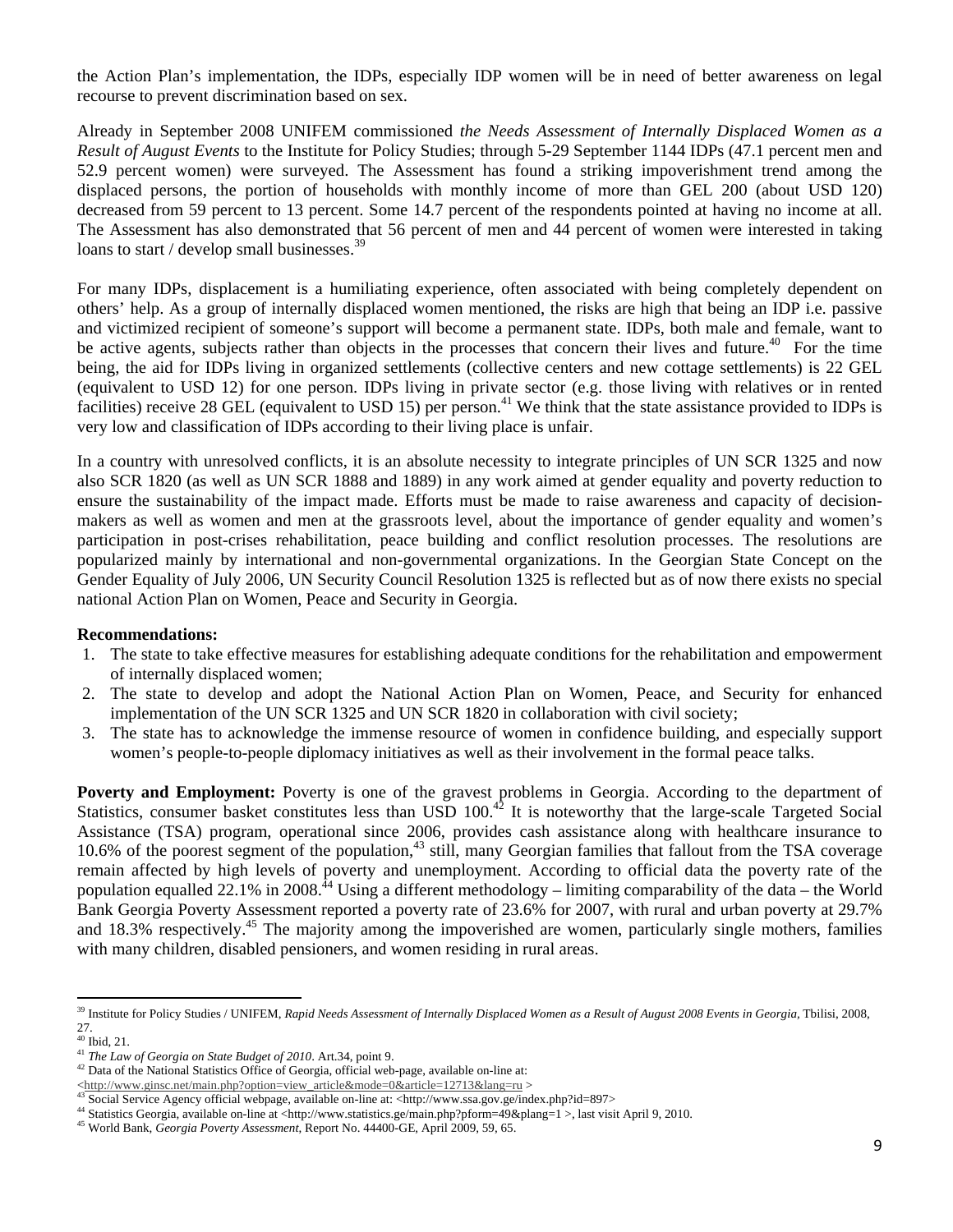the Action Plan's implementation, the IDPs, especially IDP women will be in need of better awareness on legal recourse to prevent discrimination based on sex.

Already in September 2008 UNIFEM commissioned *the Needs Assessment of Internally Displaced Women as a Result of August Events* to the Institute for Policy Studies; through 5-29 September 1144 IDPs (47.1 percent men and 52.9 percent women) were surveyed. The Assessment has found a striking impoverishment trend among the displaced persons, the portion of households with monthly income of more than GEL 200 (about USD 120) decreased from 59 percent to 13 percent. Some 14.7 percent of the respondents pointed at having no income at all. The Assessment has also demonstrated that 56 percent of men and 44 percent of women were interested in taking loans to start / develop small businesses.<sup>39</sup>

For many IDPs, displacement is a humiliating experience, often associated with being completely dependent on others' help. As a group of internally displaced women mentioned, the risks are high that being an IDP i.e. passive and victimized recipient of someone's support will become a permanent state. IDPs, both male and female, want to be active agents, subjects rather than objects in the processes that concern their lives and future.<sup>40</sup> For the time being, the aid for IDPs living in organized settlements (collective centers and new cottage settlements) is 22 GEL (equivalent to USD 12) for one person. IDPs living in private sector (e.g. those living with relatives or in rented facilities) receive 28 GEL (equivalent to USD 15) per person.<sup>41</sup> We think that the state assistance provided to IDPs is very low and classification of IDPs according to their living place is unfair.

In a country with unresolved conflicts, it is an absolute necessity to integrate principles of UN SCR 1325 and now also SCR 1820 (as well as UN SCR 1888 and 1889) in any work aimed at gender equality and poverty reduction to ensure the sustainability of the impact made. Efforts must be made to raise awareness and capacity of decisionmakers as well as women and men at the grassroots level, about the importance of gender equality and women's participation in post-crises rehabilitation, peace building and conflict resolution processes. The resolutions are popularized mainly by international and non-governmental organizations. In the Georgian State Concept on the Gender Equality of July 2006, UN Security Council Resolution 1325 is reflected but as of now there exists no special national Action Plan on Women, Peace and Security in Georgia.

### **Recommendations:**

- 1. The state to take effective measures for establishing adequate conditions for the rehabilitation and empowerment of internally displaced women;
- 2. The state to develop and adopt the National Action Plan on Women, Peace, and Security for enhanced implementation of the UN SCR 1325 and UN SCR 1820 in collaboration with civil society;
- 3. The state has to acknowledge the immense resource of women in confidence building, and especially support women's people-to-people diplomacy initiatives as well as their involvement in the formal peace talks.

Poverty and Employment: Poverty is one of the gravest problems in Georgia. According to the department of Statistics, consumer basket constitutes less than USD 100.<sup>42</sup> It is noteworthy that the large-scale Targeted Social Assistance (TSA) program, operational since 2006, provides cash assistance along with healthcare insurance to 10.6% of the poorest segment of the population, $43$  still, many Georgian families that fallout from the TSA coverage remain affected by high levels of poverty and unemployment. According to official data the poverty rate of the population equalled 22.1% in 2008.<sup>44</sup> Using a different methodology – limiting comparability of the data – the World Bank Georgia Poverty Assessment reported a poverty rate of 23.6% for 2007, with rural and urban poverty at 29.7% and 18.3% respectively.<sup>45</sup> The majority among the impoverished are women, particularly single mothers, families with many children, disabled pensioners, and women residing in rural areas.

 <sup>39</sup> Institute for Policy Studies / UNIFEM, Rapid Needs Assessment of Internally Displaced Women as a Result of August 2008 Events in Georgia, Tbilisi, 2008, 27.

 $40$  Ibid, 21.

<sup>&</sup>lt;sup>41</sup> *The Law of Georgia on State Budget of 2010*. Art.34, point 9.<br><sup>42</sup> Data of the National Statistics Office of Georgia, official web-page, available on-line at:

<sup>&</sup>lt;http://www.ginsc.net/main.php?option=view\_article&mode=0&article=12713&lang=ru ><br>
43 Social Service Agency official webpage, available on-line at: <http://www.ssa.gov.ge/index.php?id=897><br>
44 Statistics Georgia, available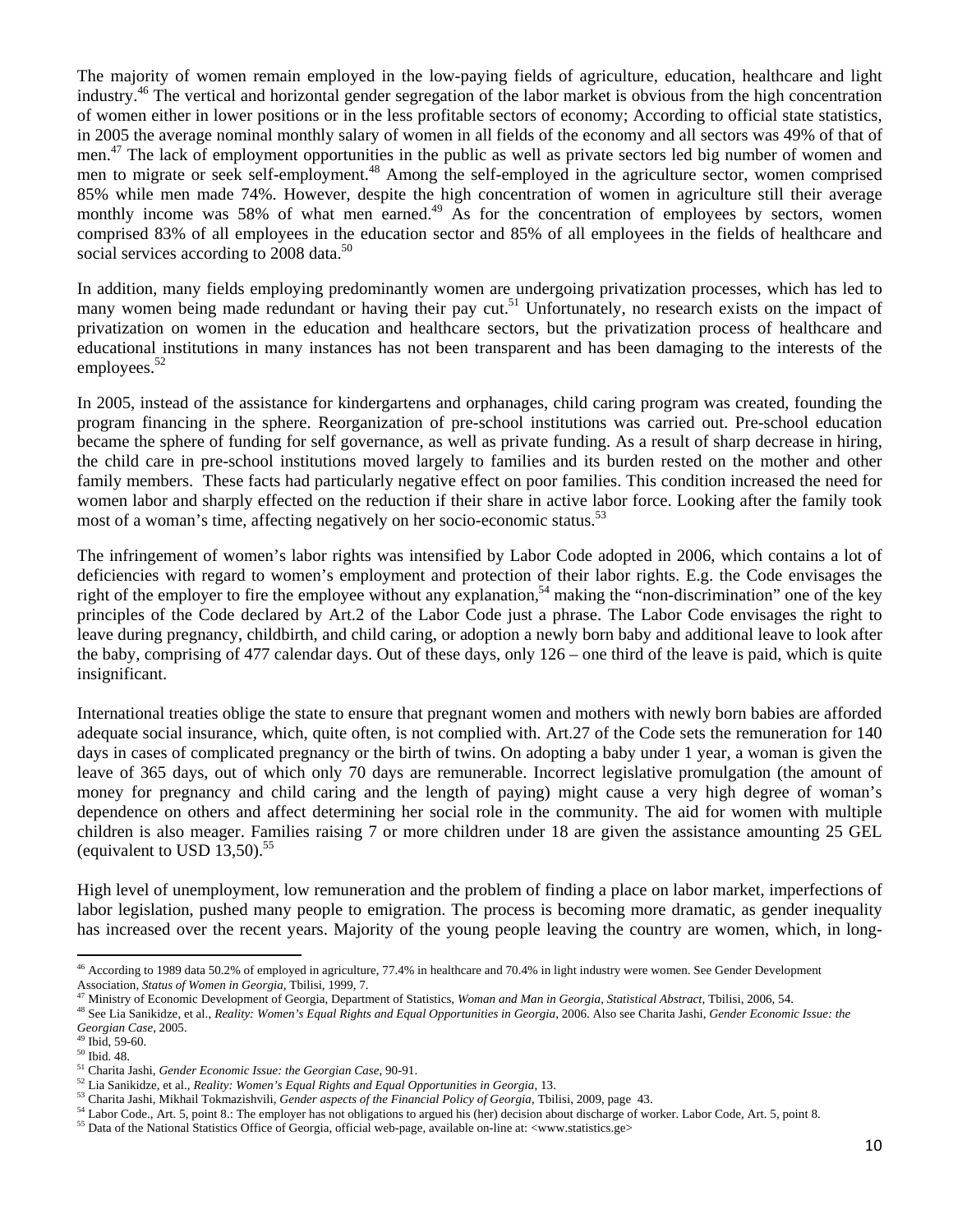The majority of women remain employed in the low-paying fields of agriculture, education, healthcare and light industry.46 The vertical and horizontal gender segregation of the labor market is obvious from the high concentration of women either in lower positions or in the less profitable sectors of economy; According to official state statistics, in 2005 the average nominal monthly salary of women in all fields of the economy and all sectors was 49% of that of men.<sup>47</sup> The lack of employment opportunities in the public as well as private sectors led big number of women and men to migrate or seek self-employment.<sup>48</sup> Among the self-employed in the agriculture sector, women comprised 85% while men made 74%. However, despite the high concentration of women in agriculture still their average monthly income was 58% of what men earned.<sup>49</sup> As for the concentration of employees by sectors, women comprised 83% of all employees in the education sector and 85% of all employees in the fields of healthcare and social services according to 2008 data.<sup>50</sup>

In addition, many fields employing predominantly women are undergoing privatization processes, which has led to many women being made redundant or having their pay cut.<sup>51</sup> Unfortunately, no research exists on the impact of privatization on women in the education and healthcare sectors, but the privatization process of healthcare and educational institutions in many instances has not been transparent and has been damaging to the interests of the employees.<sup>52</sup>

In 2005, instead of the assistance for kindergartens and orphanages, child caring program was created, founding the program financing in the sphere. Reorganization of pre-school institutions was carried out. Pre-school education became the sphere of funding for self governance, as well as private funding. As a result of sharp decrease in hiring, the child care in pre-school institutions moved largely to families and its burden rested on the mother and other family members. These facts had particularly negative effect on poor families. This condition increased the need for women labor and sharply effected on the reduction if their share in active labor force. Looking after the family took most of a woman's time, affecting negatively on her socio-economic status.<sup>53</sup>

The infringement of women's labor rights was intensified by Labor Code adopted in 2006, which contains a lot of deficiencies with regard to women's employment and protection of their labor rights. E.g. the Code envisages the right of the employer to fire the employee without any explanation,<sup>54</sup> making the "non-discrimination" one of the key principles of the Code declared by Art.2 of the Labor Code just a phrase. The Labor Code envisages the right to leave during pregnancy, childbirth, and child caring, or adoption a newly born baby and additional leave to look after the baby, comprising of 477 calendar days. Out of these days, only 126 – one third of the leave is paid, which is quite insignificant.

International treaties oblige the state to ensure that pregnant women and mothers with newly born babies are afforded adequate social insurance, which, quite often, is not complied with. Art.27 of the Code sets the remuneration for 140 days in cases of complicated pregnancy or the birth of twins. On adopting a baby under 1 year, a woman is given the leave of 365 days, out of which only 70 days are remunerable. Incorrect legislative promulgation (the amount of money for pregnancy and child caring and the length of paying) might cause a very high degree of woman's dependence on others and affect determining her social role in the community. The aid for women with multiple children is also meager. Families raising 7 or more children under 18 are given the assistance amounting 25 GEL (equivalent to USD  $13,50$ ).<sup>55</sup>

High level of unemployment, low remuneration and the problem of finding a place on labor market, imperfections of labor legislation, pushed many people to emigration. The process is becoming more dramatic, as gender inequality has increased over the recent years. Majority of the young people leaving the country are women, which, in long-

<sup>&</sup>lt;sup>46</sup> According to 1989 data 50.2% of employed in agriculture, 77.4% in healthcare and 70.4% in light industry were women. See Gender Development Association, *Status of Women in Georgia*, Tbilisi, 1999, 7.<br><sup>47</sup> Ministry of Economic Development of Georgia, Department of Statistics, *Woman and Man in Georgia, Statistical Abstract*, Tbilisi, 2006, 54.

<sup>&</sup>lt;sup>48</sup> See Lia Sanikidze, et al., Reality: Women's Equal Rights and Equal Opportunities in Georgia, 2006. Also see Charita Jashi, Gender Economic Issue: the *Georgian Case*, 2005. 49 Ibid, 59-60.

 $\frac{50}{50}$  Ibid. 48.<br><sup>51</sup> Charita Jashi, *Gender Economic Issue: the Georgian Case*, 90-91.

<sup>&</sup>lt;sup>52</sup> Lia Sanikidze, et al., *Reality: Women's Equal Rights and Equal Opportunities in Georgia*, 13.<br><sup>53</sup> Charita Jashi, Mikhail Tokmazishvili, *Gender aspects of the Financial Policy of Georgia*, Tbilisi, 2009, page 43.<br><sup></sup>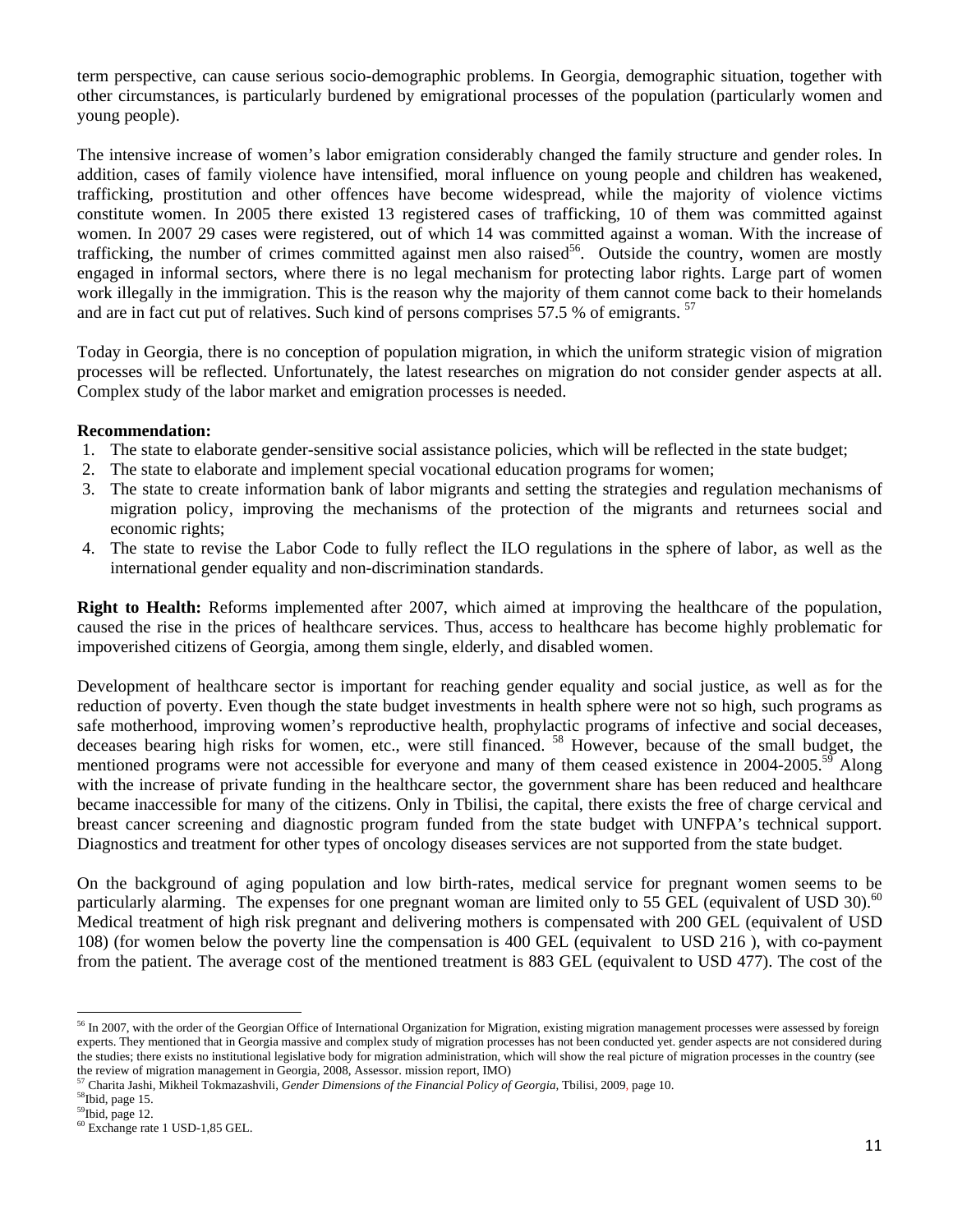term perspective, can cause serious socio-demographic problems. In Georgia, demographic situation, together with other circumstances, is particularly burdened by emigrational processes of the population (particularly women and young people).

The intensive increase of women's labor emigration considerably changed the family structure and gender roles. In addition, cases of family violence have intensified, moral influence on young people and children has weakened, trafficking, prostitution and other offences have become widespread, while the majority of violence victims constitute women. In 2005 there existed 13 registered cases of trafficking, 10 of them was committed against women. In 2007 29 cases were registered, out of which 14 was committed against a woman. With the increase of trafficking, the number of crimes committed against men also raised<sup>56</sup>. Outside the country, women are mostly engaged in informal sectors, where there is no legal mechanism for protecting labor rights. Large part of women work illegally in the immigration. This is the reason why the majority of them cannot come back to their homelands and are in fact cut put of relatives. Such kind of persons comprises 57.5 % of emigrants. <sup>57</sup>

Today in Georgia, there is no conception of population migration, in which the uniform strategic vision of migration processes will be reflected. Unfortunately, the latest researches on migration do not consider gender aspects at all. Complex study of the labor market and emigration processes is needed.

## **Recommendation:**

- 1. The state to elaborate gender-sensitive social assistance policies, which will be reflected in the state budget;
- 2. The state to elaborate and implement special vocational education programs for women;
- 3. The state to create information bank of labor migrants and setting the strategies and regulation mechanisms of migration policy, improving the mechanisms of the protection of the migrants and returnees social and economic rights;
- 4. The state to revise the Labor Code to fully reflect the ILO regulations in the sphere of labor, as well as the international gender equality and non-discrimination standards.

**Right to Health:** Reforms implemented after 2007, which aimed at improving the healthcare of the population, caused the rise in the prices of healthcare services. Thus, access to healthcare has become highly problematic for impoverished citizens of Georgia, among them single, elderly, and disabled women.

Development of healthcare sector is important for reaching gender equality and social justice, as well as for the reduction of poverty. Even though the state budget investments in health sphere were not so high, such programs as safe motherhood, improving women's reproductive health, prophylactic programs of infective and social deceases, deceases bearing high risks for women, etc., were still financed. 58 However, because of the small budget, the mentioned programs were not accessible for everyone and many of them ceased existence in 2004-2005.<sup>59</sup> Along with the increase of private funding in the healthcare sector, the government share has been reduced and healthcare became inaccessible for many of the citizens. Only in Tbilisi, the capital, there exists the free of charge cervical and breast cancer screening and diagnostic program funded from the state budget with UNFPA's technical support. Diagnostics and treatment for other types of oncology diseases services are not supported from the state budget.

On the background of aging population and low birth-rates, medical service for pregnant women seems to be particularly alarming. The expenses for one pregnant woman are limited only to 55 GEL (equivalent of USD 30).<sup>60</sup> Medical treatment of high risk pregnant and delivering mothers is compensated with 200 GEL (equivalent of USD 108) (for women below the poverty line the compensation is 400 GEL (equivalent to USD 216 ), with co-payment from the patient. The average cost of the mentioned treatment is 883 GEL (equivalent to USD 477). The cost of the

<sup>&</sup>lt;sup>56</sup> In 2007, with the order of the Georgian Office of International Organization for Migration, existing migration management processes were assessed by foreign experts. They mentioned that in Georgia massive and complex study of migration processes has not been conducted yet. gender aspects are not considered during the studies; there exists no institutional legislative body for migration administration, which will show the real picture of migration processes in the country (see the review of migration management in Georgia, 2008, Assessor. mission report, IMO) 57 Charita Jashi, Mikheil Tokmazashvili, *Gender Dimensions of the Financial Policy of Georgia,* Tbilisi, 2009, page 10.

<sup>58</sup>Ibid, page 15.

<sup>59</sup>Ibid, page 12.

<sup>60</sup> Exchange rate 1 USD-1,85 GEL.